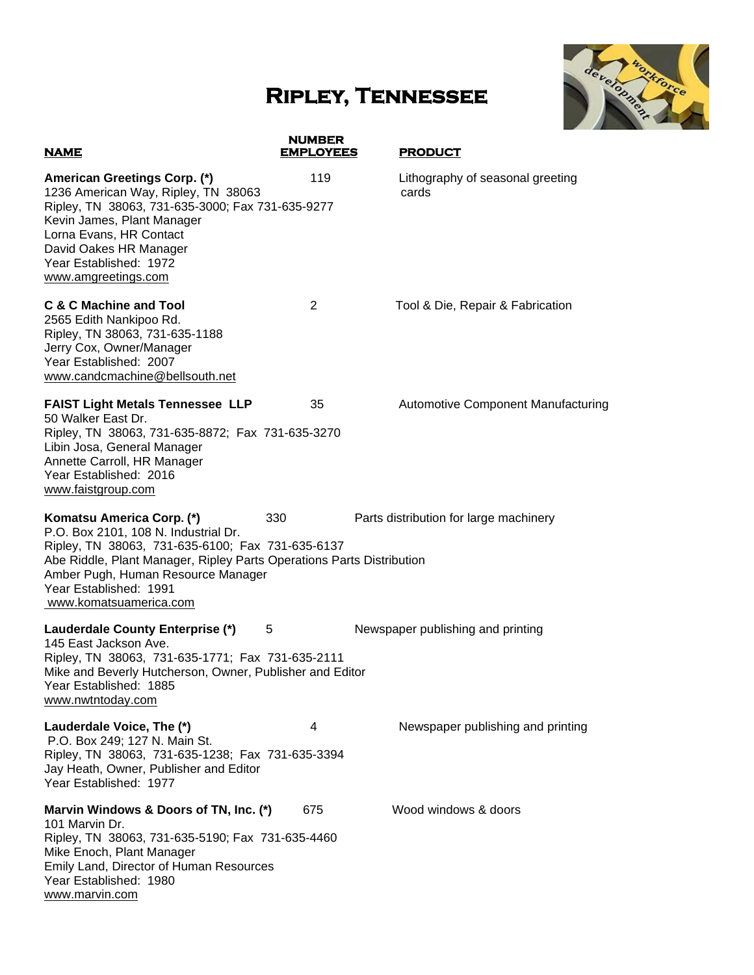# **Ripley, Tennessee**



| <b>NAME</b>                                                                                                                                                                                                                                                                              | <b>NUMBER</b><br><b>EMPLOYEES</b> | <b>PRODUCT</b>                            |
|------------------------------------------------------------------------------------------------------------------------------------------------------------------------------------------------------------------------------------------------------------------------------------------|-----------------------------------|-------------------------------------------|
| American Greetings Corp. (*)<br>1236 American Way, Ripley, TN 38063<br>Ripley, TN 38063, 731-635-3000; Fax 731-635-9277<br>Kevin James, Plant Manager<br>Lorna Evans, HR Contact<br>David Oakes HR Manager<br>Year Established: 1972<br>www.amgreetings.com                              | 119                               | Lithography of seasonal greeting<br>cards |
| <b>C &amp; C Machine and Tool</b><br>2565 Edith Nankipoo Rd.<br>Ripley, TN 38063, 731-635-1188<br>Jerry Cox, Owner/Manager<br>Year Established: 2007<br>www.candcmachine@bellsouth.net                                                                                                   | $\overline{2}$                    | Tool & Die, Repair & Fabrication          |
| <b>FAIST Light Metals Tennessee LLP</b><br>50 Walker East Dr.<br>Ripley, TN 38063, 731-635-8872; Fax 731-635-3270<br>Libin Josa, General Manager<br>Annette Carroll, HR Manager<br>Year Established: 2016<br>www.faistgroup.com                                                          | 35                                | Automotive Component Manufacturing        |
| Komatsu America Corp. (*)<br>P.O. Box 2101, 108 N. Industrial Dr.<br>Ripley, TN 38063, 731-635-6100; Fax 731-635-6137<br>Abe Riddle, Plant Manager, Ripley Parts Operations Parts Distribution<br>Amber Pugh, Human Resource Manager<br>Year Established: 1991<br>www.komatsuamerica.com | 330                               | Parts distribution for large machinery    |
| Lauderdale County Enterprise (*)<br>145 East Jackson Ave.<br>Ripley, TN 38063, 731-635-1771; Fax 731-635-2111<br>Mike and Beverly Hutcherson, Owner, Publisher and Editor<br>Year Established: 1885<br>www.nwtntoday.com                                                                 | 5                                 | Newspaper publishing and printing         |
| Lauderdale Voice, The (*)<br>P.O. Box 249; 127 N. Main St.<br>Ripley, TN 38063, 731-635-1238; Fax 731-635-3394<br>Jay Heath, Owner, Publisher and Editor<br>Year Established: 1977                                                                                                       | 4                                 | Newspaper publishing and printing         |
| Marvin Windows & Doors of TN, Inc. (*)<br>101 Marvin Dr.<br>Ripley, TN 38063, 731-635-5190; Fax 731-635-4460<br>Mike Enoch, Plant Manager<br>Emily Land, Director of Human Resources<br>Year Established: 1980<br>www.marvin.com                                                         | 675                               | Wood windows & doors                      |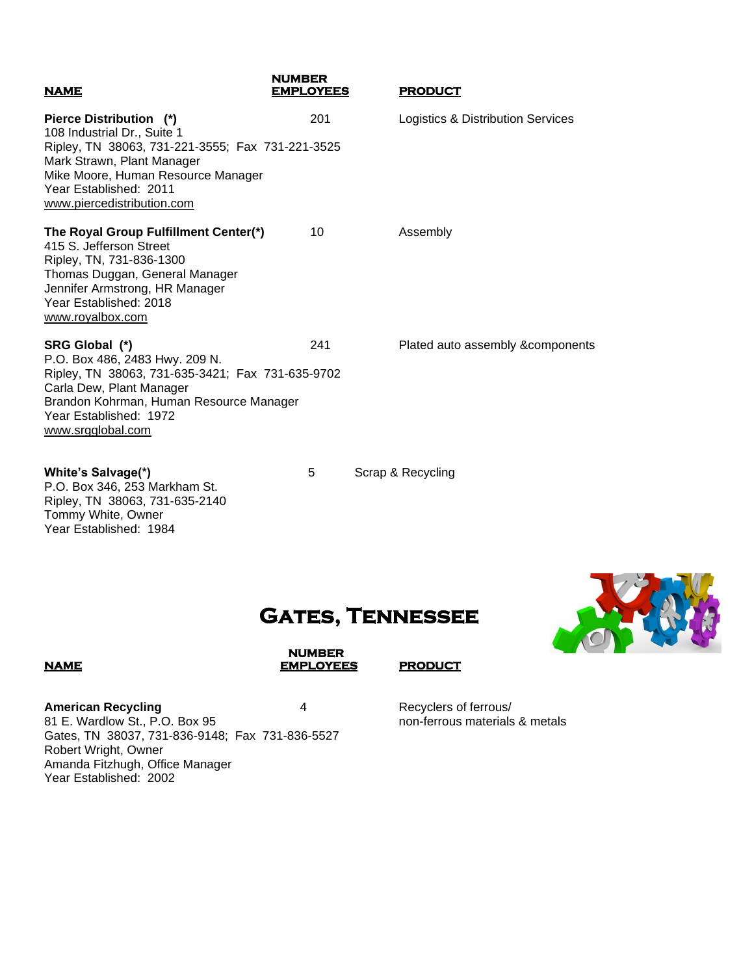| <b>NAME</b>                                                                                                                                                                                                                            | <b>NUMBER</b><br><b>EMPLOYEES</b> | <b>PRODUCT</b>                    |
|----------------------------------------------------------------------------------------------------------------------------------------------------------------------------------------------------------------------------------------|-----------------------------------|-----------------------------------|
| Pierce Distribution (*)<br>108 Industrial Dr., Suite 1<br>Ripley, TN 38063, 731-221-3555; Fax 731-221-3525<br>Mark Strawn, Plant Manager<br>Mike Moore, Human Resource Manager<br>Year Established: 2011<br>www.piercedistribution.com | 201                               | Logistics & Distribution Services |
| The Royal Group Fulfillment Center(*)<br>415 S. Jefferson Street<br>Ripley, TN, 731-836-1300<br>Thomas Duggan, General Manager<br>Jennifer Armstrong, HR Manager<br>Year Established: 2018<br>www.royalbox.com                         | 10                                | Assembly                          |
| SRG Global (*)<br>P.O. Box 486, 2483 Hwy. 209 N.<br>Ripley, TN 38063, 731-635-3421; Fax 731-635-9702<br>Carla Dew, Plant Manager<br>Brandon Kohrman, Human Resource Manager<br>Year Established: 1972<br>www.srgglobal.com             | 241                               | Plated auto assembly &components  |
| White's Salvage(*)                                                                                                                                                                                                                     | 5                                 | Scrap & Recycling                 |

P.O. Box 346, 253 Markham St. Ripley, TN 38063, 731-635-2140 Tommy White, Owner Year Established: 1984

# **Gates, Tennessee**

 **NUMBER NAME EMPLOYEES PRODUCT** 

**American Recycling**<br>
81 E. Wardlow St., P.O. Box 95 **All engines and St. American Recyclers** of ferrous materials & metals 81 E. Wardlow St., P.O. Box 95 non-ferrous materials & metals Gates, TN 38037, 731-836-9148; Fax 731-836-5527 Robert Wright, Owner Amanda Fitzhugh, Office Manager Year Established: 2002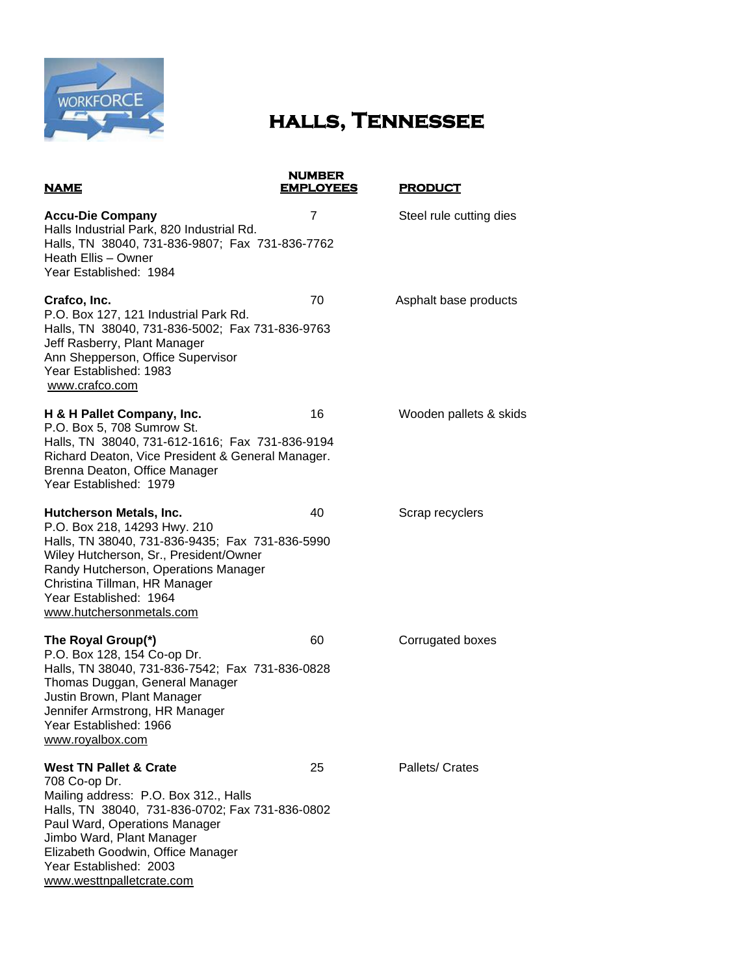

# **halls, Tennessee**

| <b>NAME</b>                                                                                                                                                                                                                                                                                              | <b>NUMBER</b><br><b>EMPLOYEES</b> | <b>PRODUCT</b>          |
|----------------------------------------------------------------------------------------------------------------------------------------------------------------------------------------------------------------------------------------------------------------------------------------------------------|-----------------------------------|-------------------------|
| <b>Accu-Die Company</b><br>Halls Industrial Park, 820 Industrial Rd.<br>Halls, TN 38040, 731-836-9807; Fax 731-836-7762<br>Heath Ellis - Owner<br>Year Established: 1984                                                                                                                                 | $\overline{7}$                    | Steel rule cutting dies |
| Crafco, Inc.<br>P.O. Box 127, 121 Industrial Park Rd.<br>Halls, TN 38040, 731-836-5002; Fax 731-836-9763<br>Jeff Rasberry, Plant Manager<br>Ann Shepperson, Office Supervisor<br>Year Established: 1983<br>www.crafco.com                                                                                | 70                                | Asphalt base products   |
| H & H Pallet Company, Inc.<br>P.O. Box 5, 708 Sumrow St.<br>Halls, TN 38040, 731-612-1616; Fax 731-836-9194<br>Richard Deaton, Vice President & General Manager.<br>Brenna Deaton, Office Manager<br>Year Established: 1979                                                                              | 16                                | Wooden pallets & skids  |
| Hutcherson Metals, Inc.<br>P.O. Box 218, 14293 Hwy. 210<br>Halls, TN 38040, 731-836-9435; Fax 731-836-5990<br>Wiley Hutcherson, Sr., President/Owner<br>Randy Hutcherson, Operations Manager<br>Christina Tillman, HR Manager<br>Year Established: 1964<br>www.hutchersonmetals.com                      | 40                                | Scrap recyclers         |
| The Royal Group(*)<br>P.O. Box 128, 154 Co-op Dr.<br>Halls, TN 38040, 731-836-7542; Fax 731-836-0828<br>Thomas Duggan, General Manager<br>Justin Brown, Plant Manager<br>Jennifer Armstrong, HR Manager<br>Year Established: 1966<br>www.royalbox.com                                                    | 60                                | Corrugated boxes        |
| <b>West TN Pallet &amp; Crate</b><br>708 Co-op Dr.<br>Mailing address: P.O. Box 312., Halls<br>Halls, TN 38040, 731-836-0702; Fax 731-836-0802<br>Paul Ward, Operations Manager<br>Jimbo Ward, Plant Manager<br>Elizabeth Goodwin, Office Manager<br>Year Established: 2003<br>www.westtnpalletcrate.com | 25                                | Pallets/ Crates         |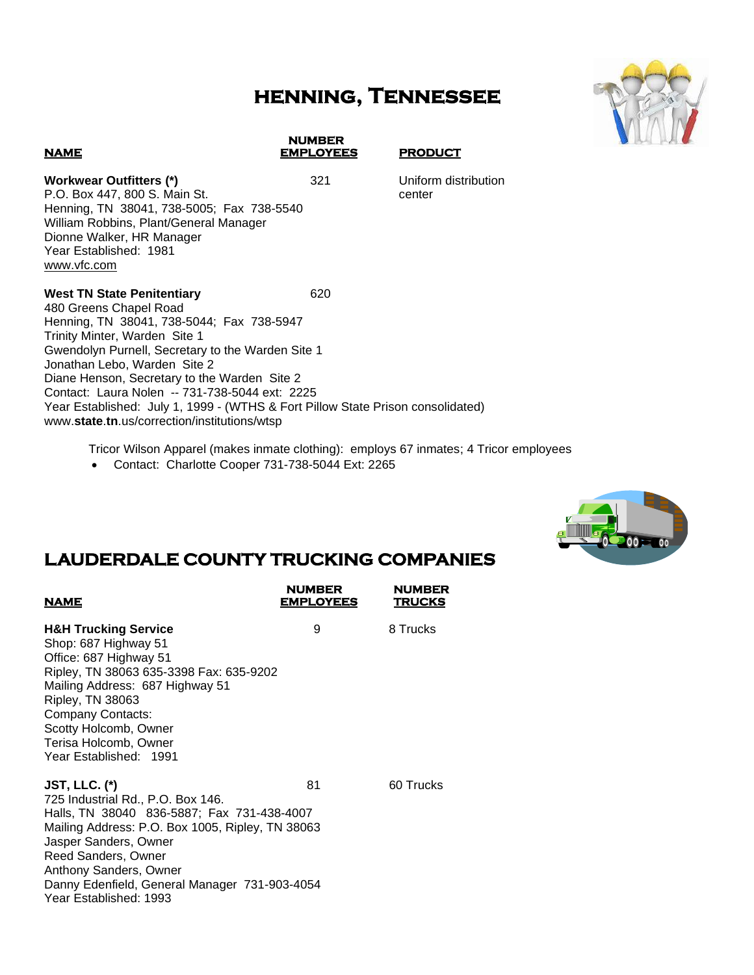## **henning, Tennessee**



 **NUMBER NAME EMPLOYEES PRODUCT** 

**Workwear Outfitters (\*)** 321 Uniform distribution P.O. Box 447, 800 S. Main St. Case of the Contention of the Center of the Center of the Center of the Center of the Center of the Center of the Center of the Center of the Center of the Center of the Center of the Center o Henning, TN 38041, 738-5005; Fax 738-5540 William Robbins, Plant/General Manager Dionne Walker, HR Manager Year Established: 1981 www.vfc.com

**West TN State Penitentiary** 620 480 Greens Chapel Road Henning, TN 38041, 738-5044; Fax 738-5947 Trinity Minter, Warden Site 1 Gwendolyn Purnell, Secretary to the Warden Site 1 Jonathan Lebo, Warden Site 2 Diane Henson, Secretary to the Warden Site 2 Contact: Laura Nolen -- 731-738-5044 ext: 2225 Year Established: July 1, 1999 - (WTHS & Fort Pillow State Prison consolidated) www.**state**.**tn**.us/correction/institutions/wtsp

Tricor Wilson Apparel (makes inmate clothing): employs 67 inmates; 4 Tricor employees

• Contact: Charlotte Cooper 731-738-5044 Ext: 2265



#### **LAUDERDALE COUNTY TRUCKING COMPANIES**

| <b>NAME</b>                                                                                                                                                                                                                                                                                                      | <b>NUMBER</b><br><b>EMPLOYEES</b> | <b>NUMBER</b><br><b>TRUCKS</b> |
|------------------------------------------------------------------------------------------------------------------------------------------------------------------------------------------------------------------------------------------------------------------------------------------------------------------|-----------------------------------|--------------------------------|
| <b>H&amp;H Trucking Service</b><br>Shop: 687 Highway 51<br>Office: 687 Highway 51<br>Ripley, TN 38063 635-3398 Fax: 635-9202<br>Mailing Address: 687 Highway 51<br><b>Ripley, TN 38063</b><br><b>Company Contacts:</b><br>Scotty Holcomb, Owner<br>Terisa Holcomb, Owner<br>Year Established: 1991               | 9                                 | 8 Trucks                       |
| <b>JST, LLC. (*)</b><br>725 Industrial Rd., P.O. Box 146.<br>Halls, TN 38040 836-5887; Fax 731-438-4007<br>Mailing Address: P.O. Box 1005, Ripley, TN 38063<br>Jasper Sanders, Owner<br>Reed Sanders, Owner<br>Anthony Sanders, Owner<br>Danny Edenfield, General Manager 731-903-4054<br>Year Established: 1993 | 81                                | 60 Trucks                      |